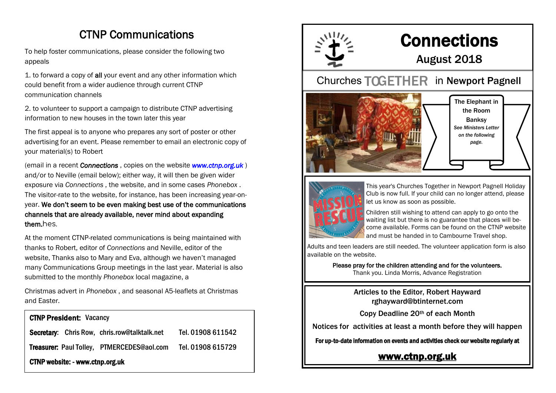# CTNP Communications

To help foster communications, please consider the following two appeals

1. to forward a copy of all your event and any other information which could benefit from a wider audience through current CTNP communication channels

2. to volunteer to support a campaign to distribute CTNP advertising information to new houses in the town later this year

The first appeal is to anyone who prepares any sort of poster or other advertising for an event. Please remember to email an electronic copy of your material(s) to Robert

(email in a recent *Connections* , copies on the website *www.ctnp.org.uk* ) and/or to Neville (email below); either way, it will then be given wider exposure via *Connections* , the website, and in some cases *Phonebox* . The visitor-rate to the website, for instance, has been increasing year-onyear. We don't seem to be even making best use of the communications channels that are already available, never mind about expanding them.hes.

At the moment CTNP-related communications is being maintained with thanks to Robert, editor of *Connections* and Neville, editor of the website, Thanks also to Mary and Eva, although we haven't managed many Communications Group meetings in the last year. Material is also submitted to the monthly *Phonebox* local magazine, a

Christmas advert in *Phonebox* , and seasonal A5-leaflets at Christmas and Easter.

| <b>CTNP President: Vacancy</b>                      |                   |
|-----------------------------------------------------|-------------------|
| <b>Secretary:</b> Chris Row, chris.row@talktalk.net | Tel. 01908 611542 |
| <b>Treasurer: Paul Tolley, PTMERCEDES@aol.com</b>   | Tel. 01908 615729 |
| <b>CTNP website: - www.ctnp.org.uk</b>              |                   |



# **Connections**

## August 2018

### Churches TOGETHER in Newport Pagnell





This year's Churches Together in Newport Pagnell Holiday Club is now full. If your child can no longer attend, please let us know as soon as possible.

Children still wishing to attend can apply to go onto the waiting list but there is no guarantee that places will become available. Forms can be found on the CTNP website and must be handed in to Cambourne Travel shop.

Adults and teen leaders are still needed. The volunteer application form is also available on the website.

> Please pray for the children attending and for the volunteers. Thank you. Linda Morris, Advance Registration

> > Articles to the Editor, Robert Hayward rghayward@btinternet.com

Copy Deadline 20th of each Month

Notices for activities at least a month before they will happen

For up-to-date information on events and activities check our website regularly at

#### [www.ctnp.org.uk](http://www.ctnp.org.uk)